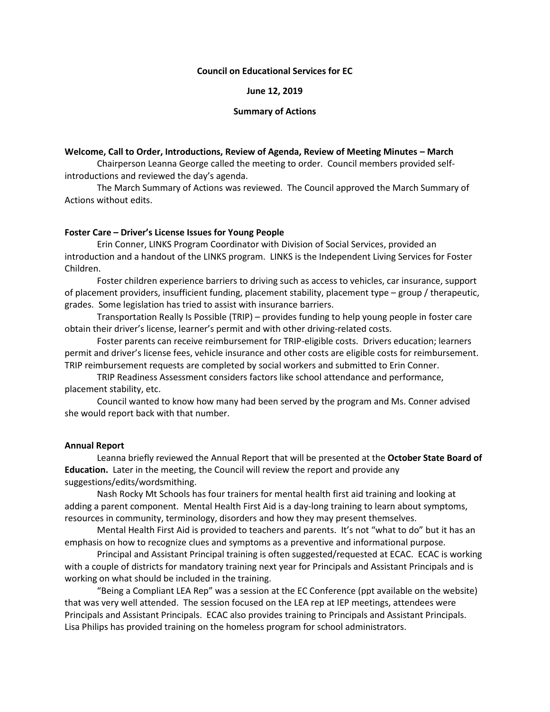# **Council on Educational Services for EC**

**June 12, 2019**

## **Summary of Actions**

# **Welcome, Call to Order, Introductions, Review of Agenda, Review of Meeting Minutes – March**

Chairperson Leanna George called the meeting to order. Council members provided selfintroductions and reviewed the day's agenda.

The March Summary of Actions was reviewed. The Council approved the March Summary of Actions without edits.

# **Foster Care – Driver's License Issues for Young People**

Erin Conner, LINKS Program Coordinator with Division of Social Services, provided an introduction and a handout of the LINKS program. LINKS is the Independent Living Services for Foster Children.

Foster children experience barriers to driving such as access to vehicles, car insurance, support of placement providers, insufficient funding, placement stability, placement type – group / therapeutic, grades. Some legislation has tried to assist with insurance barriers.

Transportation Really Is Possible (TRIP) – provides funding to help young people in foster care obtain their driver's license, learner's permit and with other driving-related costs.

Foster parents can receive reimbursement for TRIP-eligible costs. Drivers education; learners permit and driver's license fees, vehicle insurance and other costs are eligible costs for reimbursement. TRIP reimbursement requests are completed by social workers and submitted to Erin Conner.

TRIP Readiness Assessment considers factors like school attendance and performance, placement stability, etc.

Council wanted to know how many had been served by the program and Ms. Conner advised she would report back with that number.

#### **Annual Report**

Leanna briefly reviewed the Annual Report that will be presented at the **October State Board of Education.** Later in the meeting, the Council will review the report and provide any suggestions/edits/wordsmithing.

Nash Rocky Mt Schools has four trainers for mental health first aid training and looking at adding a parent component. Mental Health First Aid is a day-long training to learn about symptoms, resources in community, terminology, disorders and how they may present themselves.

Mental Health First Aid is provided to teachers and parents. It's not "what to do" but it has an emphasis on how to recognize clues and symptoms as a preventive and informational purpose.

Principal and Assistant Principal training is often suggested/requested at ECAC. ECAC is working with a couple of districts for mandatory training next year for Principals and Assistant Principals and is working on what should be included in the training.

"Being a Compliant LEA Rep" was a session at the EC Conference (ppt available on the website) that was very well attended. The session focused on the LEA rep at IEP meetings, attendees were Principals and Assistant Principals. ECAC also provides training to Principals and Assistant Principals. Lisa Philips has provided training on the homeless program for school administrators.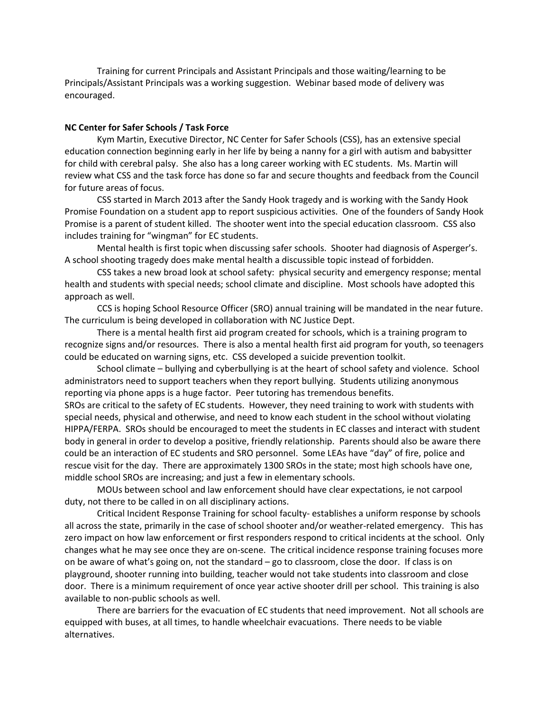Training for current Principals and Assistant Principals and those waiting/learning to be Principals/Assistant Principals was a working suggestion. Webinar based mode of delivery was encouraged.

# **NC Center for Safer Schools / Task Force**

Kym Martin, Executive Director, NC Center for Safer Schools (CSS), has an extensive special education connection beginning early in her life by being a nanny for a girl with autism and babysitter for child with cerebral palsy. She also has a long career working with EC students. Ms. Martin will review what CSS and the task force has done so far and secure thoughts and feedback from the Council for future areas of focus.

CSS started in March 2013 after the Sandy Hook tragedy and is working with the Sandy Hook Promise Foundation on a student app to report suspicious activities. One of the founders of Sandy Hook Promise is a parent of student killed. The shooter went into the special education classroom. CSS also includes training for "wingman" for EC students.

Mental health is first topic when discussing safer schools. Shooter had diagnosis of Asperger's. A school shooting tragedy does make mental health a discussible topic instead of forbidden.

CSS takes a new broad look at school safety: physical security and emergency response; mental health and students with special needs; school climate and discipline. Most schools have adopted this approach as well.

CCS is hoping School Resource Officer (SRO) annual training will be mandated in the near future. The curriculum is being developed in collaboration with NC Justice Dept.

There is a mental health first aid program created for schools, which is a training program to recognize signs and/or resources. There is also a mental health first aid program for youth, so teenagers could be educated on warning signs, etc. CSS developed a suicide prevention toolkit.

School climate – bullying and cyberbullying is at the heart of school safety and violence. School administrators need to support teachers when they report bullying. Students utilizing anonymous reporting via phone apps is a huge factor. Peer tutoring has tremendous benefits.

SROs are critical to the safety of EC students. However, they need training to work with students with special needs, physical and otherwise, and need to know each student in the school without violating HIPPA/FERPA. SROs should be encouraged to meet the students in EC classes and interact with student body in general in order to develop a positive, friendly relationship. Parents should also be aware there could be an interaction of EC students and SRO personnel. Some LEAs have "day" of fire, police and rescue visit for the day. There are approximately 1300 SROs in the state; most high schools have one, middle school SROs are increasing; and just a few in elementary schools.

MOUs between school and law enforcement should have clear expectations, ie not carpool duty, not there to be called in on all disciplinary actions.

Critical Incident Response Training for school faculty- establishes a uniform response by schools all across the state, primarily in the case of school shooter and/or weather-related emergency. This has zero impact on how law enforcement or first responders respond to critical incidents at the school. Only changes what he may see once they are on-scene. The critical incidence response training focuses more on be aware of what's going on, not the standard – go to classroom, close the door. If class is on playground, shooter running into building, teacher would not take students into classroom and close door. There is a minimum requirement of once year active shooter drill per school. This training is also available to non-public schools as well.

There are barriers for the evacuation of EC students that need improvement. Not all schools are equipped with buses, at all times, to handle wheelchair evacuations. There needs to be viable alternatives.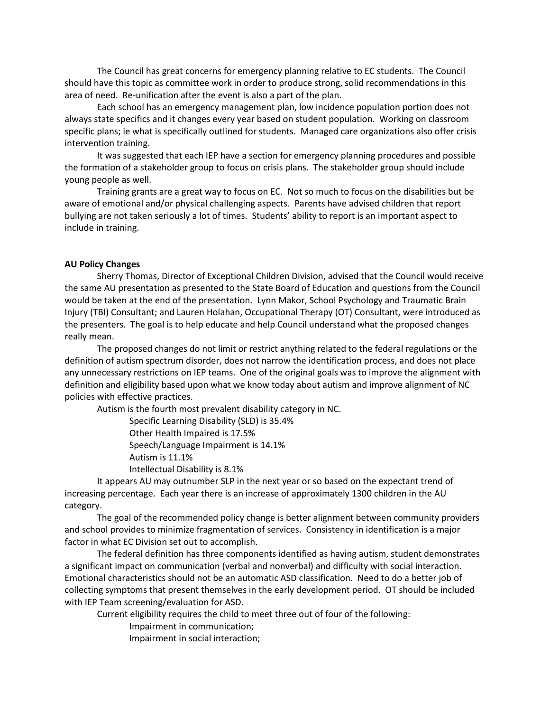The Council has great concerns for emergency planning relative to EC students. The Council should have this topic as committee work in order to produce strong, solid recommendations in this area of need. Re-unification after the event is also a part of the plan.

Each school has an emergency management plan, low incidence population portion does not always state specifics and it changes every year based on student population. Working on classroom specific plans; ie what is specifically outlined for students. Managed care organizations also offer crisis intervention training.

It was suggested that each IEP have a section for emergency planning procedures and possible the formation of a stakeholder group to focus on crisis plans. The stakeholder group should include young people as well.

Training grants are a great way to focus on EC. Not so much to focus on the disabilities but be aware of emotional and/or physical challenging aspects. Parents have advised children that report bullying are not taken seriously a lot of times. Students' ability to report is an important aspect to include in training.

# **AU Policy Changes**

Sherry Thomas, Director of Exceptional Children Division, advised that the Council would receive the same AU presentation as presented to the State Board of Education and questions from the Council would be taken at the end of the presentation. Lynn Makor, School Psychology and Traumatic Brain Injury (TBI) Consultant; and Lauren Holahan, Occupational Therapy (OT) Consultant, were introduced as the presenters. The goal is to help educate and help Council understand what the proposed changes really mean.

The proposed changes do not limit or restrict anything related to the federal regulations or the definition of autism spectrum disorder, does not narrow the identification process, and does not place any unnecessary restrictions on IEP teams. One of the original goals was to improve the alignment with definition and eligibility based upon what we know today about autism and improve alignment of NC policies with effective practices.

Autism is the fourth most prevalent disability category in NC.

Specific Learning Disability (SLD) is 35.4%

Other Health Impaired is 17.5%

Speech/Language Impairment is 14.1%

Autism is 11.1%

Intellectual Disability is 8.1%

It appears AU may outnumber SLP in the next year or so based on the expectant trend of increasing percentage. Each year there is an increase of approximately 1300 children in the AU category.

The goal of the recommended policy change is better alignment between community providers and school provides to minimize fragmentation of services. Consistency in identification is a major factor in what EC Division set out to accomplish.

The federal definition has three components identified as having autism, student demonstrates a significant impact on communication (verbal and nonverbal) and difficulty with social interaction. Emotional characteristics should not be an automatic ASD classification. Need to do a better job of collecting symptoms that present themselves in the early development period. OT should be included with IEP Team screening/evaluation for ASD.

Current eligibility requires the child to meet three out of four of the following:

Impairment in communication;

Impairment in social interaction;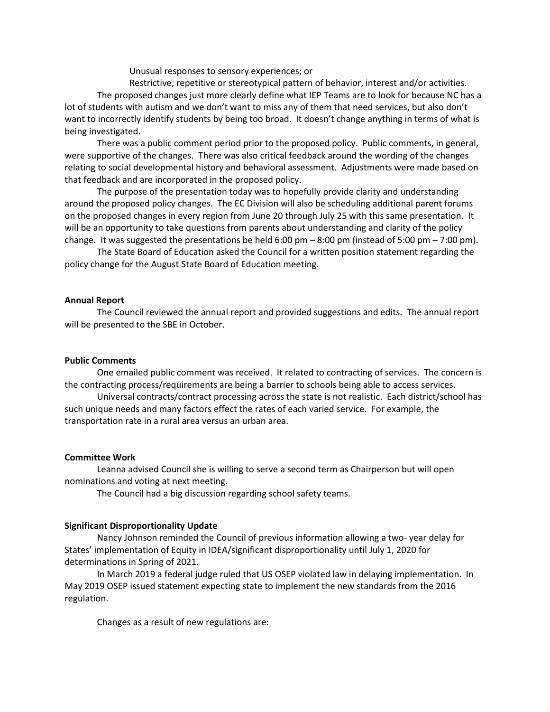Unusual responses to sensory experiences; or

Restrictive, repetitive or stereotypical pattern of behavior, interest and/or activities. The proposed changes just more clearly define what IEP Teams are to look for because NC has a lot of students with autism and we don't want to miss any of them that need services, but also don't want to incorrectly identify students by being too broad. It doesn't change anything in terms of what is being investigated.

There was a public comment period prior to the proposed policy. Public comments, in general, were supportive of the changes. There was also critical feedback around the wording of the changes relating to social developmental history and behavioral assessment. Adjustments were made based on that feedback and are incorporated in the proposed policy.

The purpose of the presentation today was to hopefully provide clarity and understanding around the proposed policy changes. The EC Division will also be scheduling additional parent forums on the proposed changes in every region from June 20 through July 25 with this same presentation. It will be an opportunity to take questions from parents about understanding and clarity of the policy change. It was suggested the presentations be held 6:00 pm – 8:00 pm (instead of 5:00 pm – 7:00 pm).

The State Board of Education asked the Council for a written position statement regarding the policy change for the August State Board of Education meeting.

#### **Annual Report**

The Council reviewed the annual report and provided suggestions and edits. The annual report will be presented to the SBE in October.

## **Public Comments**

One emailed public comment was received. It related to contracting of services. The concern is the contracting process/requirements are being a barrier to schools being able to access services.

Universal contracts/contract processing across the state is not realistic. Each district/school has such unique needs and many factors effect the rates of each varied service. For example, the transportation rate in a rural area versus an urban area.

#### **Committee Work**

Leanna advised Council she is willing to serve a second term as Chairperson but will open nominations and voting at next meeting.

The Council had a big discussion regarding school safety teams.

#### **Significant Disproportionality Update**

Nancy Johnson reminded the Council of previous information allowing a two- year delay for States' implementation of Equity in IDEA/significant disproportionality until July 1, 2020 for determinations in Spring of 2021.

In March 2019 a federal judge ruled that US OSEP violated law in delaying implementation. In May 2019 OSEP issued statement expecting state to implement the new standards from the 2016 regulation.

Changes as a result of new regulations are: